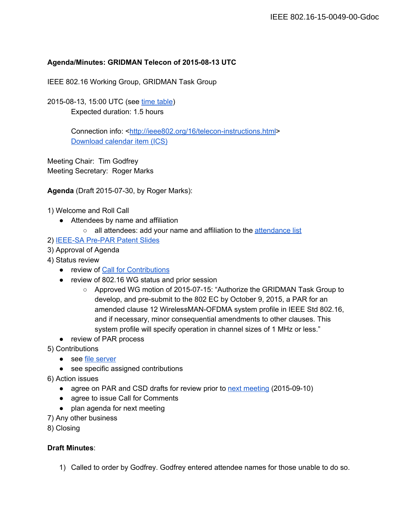### Agenda/Minutes: GRIDMAN Telecon of 2015-08-13 UTC

IEEE 802.16 Working Group, GRIDMAN Task Group

2015-08-13, 15:00 UTC (see [time table\)](http://www.timeanddate.com/worldclock/fixedtime.html?msg=802.16+GRIDMAN+Telecon&iso=20150813T15&p1=1440&ah=1&am=30) Expected duration: 1.5 hours

> Connection info: <http://ieee802.org/16/telecon-instructions.html> [Download calendar item \(ICS\)](http://ieee802.org/16/ics/2015-08-13.ics)

Meeting Chair: Tim Godfrey Meeting Secretary: Roger Marks

**Agenda** (Draft 2015-07-30, by Roger Marks):

1) Welcome and Roll Call

- Attendees by name and affiliation
	- o all attendees: add your name and affiliation to the [attendance list](https://docs.google.com/spreadsheets/d/1ApH8XwGGphPLUmAhkAKHXL5_HgwgoT3jsIj6di4IC8M/edit#gid=0)

2) IEEE-SA Pre-PAR Patent Slides

- 3) Approval of Agenda
- 4) Status review
	- review of [Call for Contributions](http://doc.wirelessman.org/15-0031-01)
	- review of 802.16 WG status and prior session
		- Approved WG motion of 2015-07-15: "Authorize the GRIDMAN Task Group to develop, and pre-submit to the 802 EC by October 9, 2015, a PAR for an amended clause 12 WirelessMAN-OFDMA system profile in IEEE Std 802.16, and if necessary, minor consequential amendments to other clauses. This system profile will specify operation in channel sizes of 1 MHz or less."
	- review of PAR process
- 5) Contributions
	- see [file server](http://docs.wirelessman.org/)
	- see specific assigned contributions
- 6) Action issues
	- agree on PAR and CSD drafts for review prior to [next meeting](https://docs.google.com/document/d/1i90QbGbMkiRSC7dxJqhH0VVN9NOB-OndgX_BMXuVW-E/edit) (2015-09-10)
	- **●** agree to issue Call for Comments
	- plan agenda for next meeting
- 7) Any other business

8) Closing

#### **Draft Minutes**:

1) Called to order by Godfrey. Godfrey entered attendee names for those unable to do so.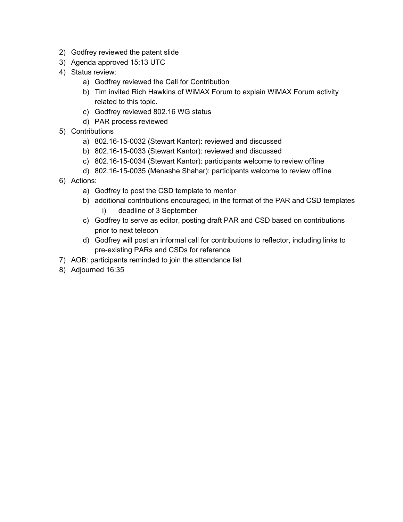- 2) Godfrey reviewed the patent slide
- 3) Agenda approved 15:13 UTC
- 4) Status review:
	- a) Godfrey reviewed the Call for Contribution
	- b) Tim invited Rich Hawkins of WiMAX Forum to explain WiMAX Forum activity related to this topic.
	- c) Godfrey reviewed 802.16 WG status
	- d) PAR process reviewed
- 5) Contributions
	- a) 802.16-15-0032 (Stewart Kantor): reviewed and discussed
	- b) 802.16-15-0033 (Stewart Kantor): reviewed and discussed
	- c) 802.16-15-0034 (Stewart Kantor): participants welcome to review offline
	- d) 802.16-15-0035 (Menashe Shahar): participants welcome to review offline
- 6) Actions:
	- a) Godfrey to post the CSD template to mentor
	- b) additional contributions encouraged, in the format of the PAR and CSD templates i) deadline of 3 September
	- c) Godfrey to serve as editor, posting draft PAR and CSD based on contributions prior to next telecon
	- d) Godfrey will post an informal call for contributions to reflector, including links to pre-existing PARs and CSDs for reference
- 7) AOB: participants reminded to join the attendance list
- 8) Adjourned 16:35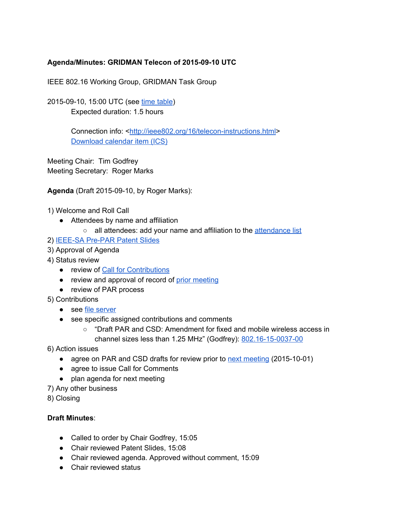# **Agenda/Minutes: GRIDMAN Telecon of 20150910 UTC**

IEEE 802.16 Working Group, GRIDMAN Task Group

2015-09-10, 15:00 UTC (see time [table\)](http://www.timeanddate.com/worldclock/fixedtime.html?msg=802.16+GRIDMAN+Telecon&iso=20150910T15&p1=1440&ah=1&am=30) Expected duration: 1.5 hours

> Connection info: <http://ieee802.org/16/telecon-instructions.html> [Download](http://ieee802.org/16/ics/2015-09-10.ics) calendar item (ICS)

Meeting Chair: Tim Godfrey Meeting Secretary: Roger Marks

**Agenda** (Draft 2015-09-10, by Roger Marks):

1) Welcome and Roll Call

- Attendees by name and affiliation
	- o all attendees: add your name and affiliation to the [attendance](https://docs.google.com/spreadsheets/d/1ApH8XwGGphPLUmAhkAKHXL5_HgwgoT3jsIj6di4IC8M/edit#gid=0) list

2) IEEE-SA Pre-PAR Patent Slides

- 3) Approval of Agenda
- 4) Status review
	- review of Call for [Contributions](http://doc.wirelessman.org/15-0031-01)
	- review and approval of record of prior [meeting](https://docs.google.com/document/d/1DkTICdqY-U8PHmr3qj-cBgeZo8O4r8_2jIM0zRbCKBo/edit)
	- review of PAR process
- 5) Contributions
	- see file [server](http://docs.wirelessman.org/)
	- see specific assigned contributions and comments
		- "Draft PAR and CSD: Amendment for fixed and mobile wireless access in channel sizes less than  $1.25$  MHz" (Godfrey):  $802.16-15-0037-00$

6) Action issues

- agree on PAR and CSD drafts for review prior to next [meeting](https://docs.google.com/document/d/1GJU1nIR0DaefPecrj5fec7dn_5Wrm5sPgebmcA0DxWw/edit) (2015-10-01)
- agree to issue Call for Comments
- plan agenda for next meeting
- 7) Any other business

8) Closing

#### **Draft Minutes**:

- Called to order by Chair Godfrey, 15:05
- Chair reviewed Patent Slides, 15:08
- Chair reviewed agenda. Approved without comment, 15:09
- Chair reviewed status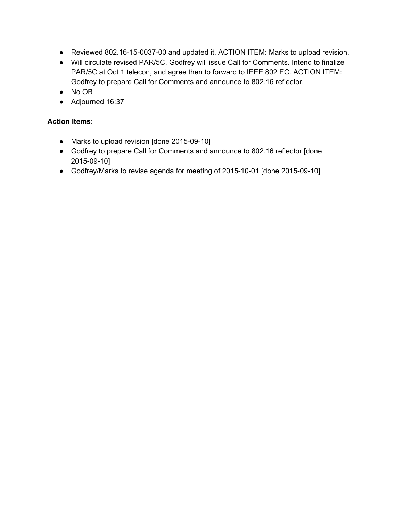- Reviewed 802.16-15-0037-00 and updated it. ACTION ITEM: Marks to upload revision.
- Will circulate revised PAR/5C. Godfrey will issue Call for Comments. Intend to finalize PAR/5C at Oct 1 telecon, and agree then to forward to IEEE 802 EC. ACTION ITEM: Godfrey to prepare Call for Comments and announce to 802.16 reflector.
- No OB
- Adjourned 16:37

## **Action Items**:

- Marks to upload revision [done 2015-09-10]
- Godfrey to prepare Call for Comments and announce to 802.16 reflector [done 2015-09-10]
- Godfrey/Marks to revise agenda for meeting of 2015-10-01 [done 2015-09-10]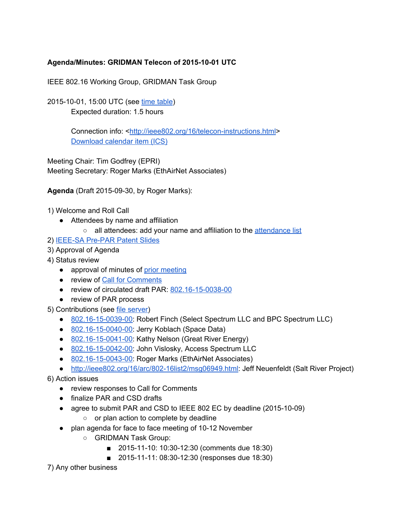# **Agenda/Minutes: GRIDMAN Telecon of 20151001 UTC**

IEEE 802.16 Working Group, GRIDMAN Task Group

2015-10-01, 15:00 UTC (see time [table\)](http://www.timeanddate.com/worldclock/fixedtime.html?msg=802.16+GRIDMAN+Telecon&iso=20151001T15&p1=1440&ah=1&am=30) Expected duration: 1.5 hours

> Connection info: <http://ieee802.org/16/telecon-instructions.html> [Download](http://ieee802.org/16/ics/2015-10-01.ics) calendar item (ICS)

Meeting Chair: Tim Godfrey (EPRI) Meeting Secretary: Roger Marks (EthAirNet Associates)

**Agenda** (Draft 2015-09-30, by Roger Marks):

1) Welcome and Roll Call

- Attendees by name and affiliation
	- all attendees: add your name and affiliation to the [attendance](https://docs.google.com/spreadsheets/d/1ApH8XwGGphPLUmAhkAKHXL5_HgwgoT3jsIj6di4IC8M/edit#gid=0) list
- 2) IEEE-SA Pre-PAR Patent Slides
- 3) Approval of Agenda
- 4) Status review
	- approval of minutes of prior [meeting](https://docs.google.com/document/d/1i90QbGbMkiRSC7dxJqhH0VVN9NOB-OndgX_BMXuVW-E/edit)
	- review of Call for [Comments](http://ieee802.org/16/arc/802-16list2/msg06948.html)
	- review of circulated draft PAR: 802.16-15-0038-00
	- review of PAR process

5) Contributions (see file [server\)](http://docs.wirelessman.org/)

- 802.16-15-0039-00: Robert Finch (Select Spectrum LLC and BPC Spectrum LLC)
- 802.16-15-0040-00: Jerry Koblach (Space Data)
- $\bullet$  802.16-15-0041-00: Kathy Nelson (Great River Energy)
- 802.16-15-0042-00: John Vislosky, Access Spectrum LLC
- 802.16-15-0043-00: Roger Marks (EthAirNet Associates)
- http://ieee802.org/16/arc/802-16list2/msg06949.html: Jeff Neuenfeldt (Salt River Project)

6) Action issues

- review responses to Call for Comments
- finalize PAR and CSD drafts
- agree to submit PAR and CSD to IEEE 802 EC by deadline (2015-10-09)
	- or plan action to complete by deadline
- plan agenda for face to face meeting of 10-12 November
	- GRIDMAN Task Group:
		- 2015-11-10: 10:30-12:30 (comments due 18:30)
		- 2015-11-11: 08:30-12:30 (responses due 18:30)

7) Any other business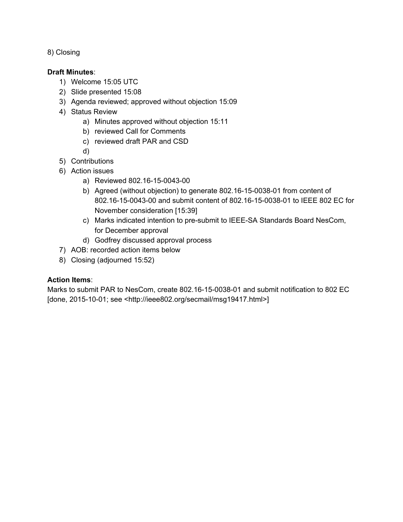8) Closing

### **Draft Minutes**:

- 1) Welcome 15:05 UTC
- 2) Slide presented 15:08
- 3) Agenda reviewed; approved without objection 15:09
- 4) Status Review
	- a) Minutes approved without objection 15:11
	- b) reviewed Call for Comments
	- c) reviewed draft PAR and CSD
	- d)
- 5) Contributions
- 6) Action issues
	- a) Reviewed 802.16-15-0043-00
	- b) Agreed (without objection) to generate 802.16-15-0038-01 from content of 802.16-15-0043-00 and submit content of 802.16-15-0038-01 to IEEE 802 EC for November consideration [15:39]
	- c) Marks indicated intention to pre-submit to IEEE-SA Standards Board NesCom, for December approval
	- d) Godfrey discussed approval process
- 7) AOB: recorded action items below
- 8) Closing (adjourned 15:52)

### **Action Items**:

Marks to submit PAR to NesCom, create 802.16-15-0038-01 and submit notification to 802 EC [done, 2015-10-01; see <http://ieee802.org/secmail/msg19417.html>]